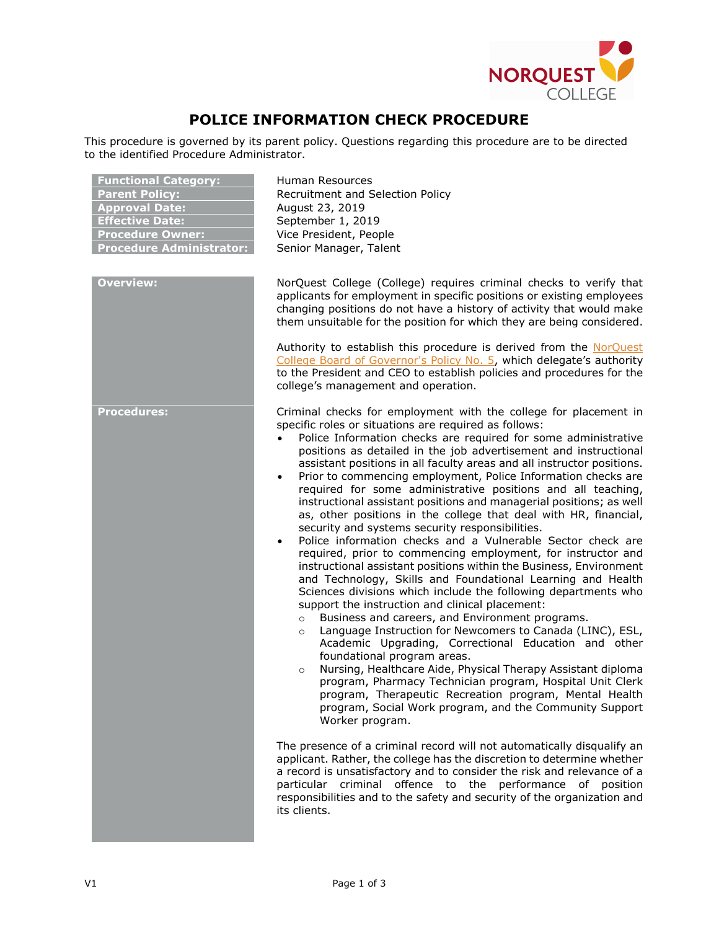

## **POLICE INFORMATION CHECK PROCEDURE**

This procedure is governed by its parent policy. Questions regarding this procedure are to be directed to the identified Procedure Administrator.

| <b>Functional Category:</b><br><b>Parent Policy:</b><br><b>Approval Date:</b><br><b>Effective Date:</b><br><b>Procedure Owner:</b><br><b>Procedure Administrator:</b> | Human Resources<br>Recruitment and Selection Policy<br>August 23, 2019<br>September 1, 2019<br>Vice President, People<br>Senior Manager, Talent                                                                                                                                                                                                                                                                                                                                                                                                                                                                                                                                                                                                                                                                                                                                                                                                                                                                                                                                                                                                                                                                                                                                                                                                                                                                                                                                                                                                                                                                                                                                                                                                                                                                                                                                                                                                                                                 |
|-----------------------------------------------------------------------------------------------------------------------------------------------------------------------|-------------------------------------------------------------------------------------------------------------------------------------------------------------------------------------------------------------------------------------------------------------------------------------------------------------------------------------------------------------------------------------------------------------------------------------------------------------------------------------------------------------------------------------------------------------------------------------------------------------------------------------------------------------------------------------------------------------------------------------------------------------------------------------------------------------------------------------------------------------------------------------------------------------------------------------------------------------------------------------------------------------------------------------------------------------------------------------------------------------------------------------------------------------------------------------------------------------------------------------------------------------------------------------------------------------------------------------------------------------------------------------------------------------------------------------------------------------------------------------------------------------------------------------------------------------------------------------------------------------------------------------------------------------------------------------------------------------------------------------------------------------------------------------------------------------------------------------------------------------------------------------------------------------------------------------------------------------------------------------------------|
| <b>Overview:</b>                                                                                                                                                      | NorQuest College (College) requires criminal checks to verify that<br>applicants for employment in specific positions or existing employees<br>changing positions do not have a history of activity that would make<br>them unsuitable for the position for which they are being considered.                                                                                                                                                                                                                                                                                                                                                                                                                                                                                                                                                                                                                                                                                                                                                                                                                                                                                                                                                                                                                                                                                                                                                                                                                                                                                                                                                                                                                                                                                                                                                                                                                                                                                                    |
|                                                                                                                                                                       | Authority to establish this procedure is derived from the NorQuest<br>College Board of Governor's Policy No. 5, which delegate's authority<br>to the President and CEO to establish policies and procedures for the<br>college's management and operation.                                                                                                                                                                                                                                                                                                                                                                                                                                                                                                                                                                                                                                                                                                                                                                                                                                                                                                                                                                                                                                                                                                                                                                                                                                                                                                                                                                                                                                                                                                                                                                                                                                                                                                                                      |
| <b>Procedures:</b>                                                                                                                                                    | Criminal checks for employment with the college for placement in<br>specific roles or situations are required as follows:<br>Police Information checks are required for some administrative<br>positions as detailed in the job advertisement and instructional<br>assistant positions in all faculty areas and all instructor positions.<br>Prior to commencing employment, Police Information checks are<br>$\bullet$<br>required for some administrative positions and all teaching,<br>instructional assistant positions and managerial positions; as well<br>as, other positions in the college that deal with HR, financial,<br>security and systems security responsibilities.<br>Police information checks and a Vulnerable Sector check are<br>$\bullet$<br>required, prior to commencing employment, for instructor and<br>instructional assistant positions within the Business, Environment<br>and Technology, Skills and Foundational Learning and Health<br>Sciences divisions which include the following departments who<br>support the instruction and clinical placement:<br>Business and careers, and Environment programs.<br>$\circ$<br>Language Instruction for Newcomers to Canada (LINC), ESL,<br>$\circ$<br>Academic Upgrading, Correctional Education and other<br>foundational program areas.<br>Nursing, Healthcare Aide, Physical Therapy Assistant diploma<br>$\circ$<br>program, Pharmacy Technician program, Hospital Unit Clerk<br>program, Therapeutic Recreation program, Mental Health<br>program, Social Work program, and the Community Support<br>Worker program.<br>The presence of a criminal record will not automatically disqualify an<br>applicant. Rather, the college has the discretion to determine whether<br>a record is unsatisfactory and to consider the risk and relevance of a<br>particular criminal offence to the performance of position<br>responsibilities and to the safety and security of the organization and<br>its clients. |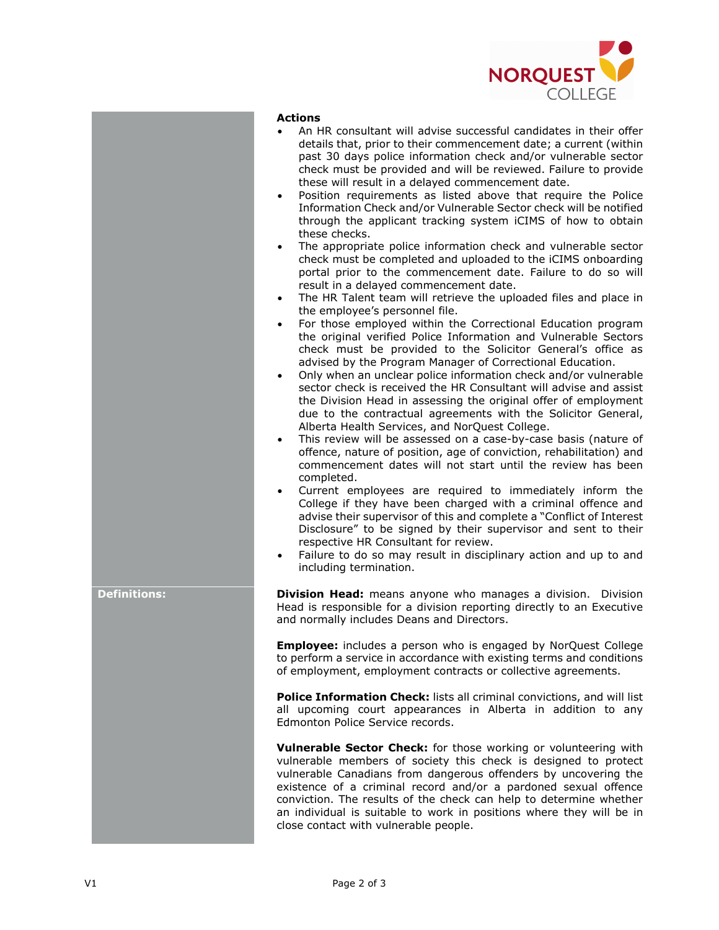

## **Actions**

- An HR consultant will advise successful candidates in their offer details that, prior to their commencement date; a current (within past 30 days police information check and/or vulnerable sector check must be provided and will be reviewed. Failure to provide these will result in a delayed commencement date.
- Position requirements as listed above that require the Police Information Check and/or Vulnerable Sector check will be notified through the applicant tracking system iCIMS of how to obtain these checks.
- The appropriate police information check and vulnerable sector check must be completed and uploaded to the iCIMS onboarding portal prior to the commencement date. Failure to do so will result in a delayed commencement date.
- The HR Talent team will retrieve the uploaded files and place in the employee's personnel file.
- For those employed within the Correctional Education program the original verified Police Information and Vulnerable Sectors check must be provided to the Solicitor General's office as advised by the Program Manager of Correctional Education.
- Only when an unclear police information check and/or vulnerable sector check is received the HR Consultant will advise and assist the Division Head in assessing the original offer of employment due to the contractual agreements with the Solicitor General, Alberta Health Services, and NorQuest College.
- This review will be assessed on a case-by-case basis (nature of offence, nature of position, age of conviction, rehabilitation) and commencement dates will not start until the review has been completed.
- Current employees are required to immediately inform the College if they have been charged with a criminal offence and advise their supervisor of this and complete a "Conflict of Interest Disclosure" to be signed by their supervisor and sent to their respective HR Consultant for review.
- Failure to do so may result in disciplinary action and up to and including termination.

**Definitions: Division Head:** means anyone who manages a division. Division Head is responsible for a division reporting directly to an Executive and normally includes Deans and Directors.

> **Employee:** includes a person who is engaged by NorQuest College to perform a service in accordance with existing terms and conditions of employment, employment contracts or collective agreements.

> **Police Information Check:** lists all criminal convictions, and will list all upcoming court appearances in Alberta in addition to any Edmonton Police Service records.

> **Vulnerable Sector Check:** for those working or volunteering with vulnerable members of society this check is designed to protect vulnerable Canadians from dangerous offenders by uncovering the existence of a criminal record and/or a pardoned sexual offence conviction. The results of the check can help to determine whether an individual is suitable to work in positions where they will be in close contact with vulnerable people.